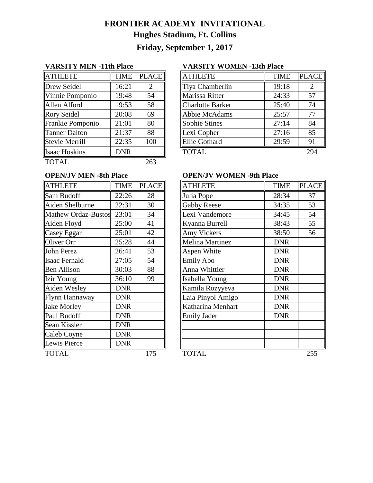# **FRONTIER ACADEMY INVITATIONAL Hughes Stadium, Ft. Collins Friday, September 1, 2017**

| <b>ATHLETE</b>        | <b>TIME</b> | <b>PLACE</b> |
|-----------------------|-------------|--------------|
| Drew Seidel           | 16:21       | 2            |
| Vinnie Pomponio       | 19:48       | 54           |
| Allen Alford          | 19:53       | 58           |
| <b>Rory Seidel</b>    | 20:08       | 69           |
| Frankie Pomponio      | 21:01       | 80           |
| <b>Tanner Dalton</b>  | 21:37       | 88           |
| <b>Stevie Merrill</b> | 22:35       | 100          |
| <b>Isaac Hoskins</b>  | <b>DNR</b>  |              |
| <b>TOTAL</b>          |             | 263          |

### **VARSITY MEN -11th Place VARSITY WOMEN -13th Place**

| <b>ATHLETE</b>          | <b>TIME</b> | <b>PLACE</b> | <b>ATHLETE</b>          | <b>TIME</b> | <b>PLACE</b> |
|-------------------------|-------------|--------------|-------------------------|-------------|--------------|
| Drew Seidel             | 16:21       | 2            | Tiya Chamberlin         | 19:18       |              |
| Vinnie Pomponio         | 19:48       | 54           | Marissa Ritter          | 24:33       | 57           |
| Allen Alford            | 19:53       | 58           | <b>Charlotte Barker</b> | 25:40       | 74           |
| Rory Seidel             | 20:08       | 69           | Abbie McAdams           | 25:57       | 77           |
| <b>Frankie Pomponio</b> | 21:01       | 80           | Sophie Stines           | 27:14       | 84           |
| <b>Tanner Dalton</b>    | 21:37       | 88           | Lexi Copher             | 27:16       | 85           |
| <b>Stevie Merrill</b>   | 22:35       | 100          | <b>Ellie Gothard</b>    | 29:59       | 91           |
| <b>Isaac Hoskins</b>    | <b>DNR</b>  |              | <b>TOTAL</b>            |             | 294          |

| <b>ATHLETE</b>             | <b>TIME</b> | <b>PLACE</b> | <b>ATHLETE</b>         | <b>TIME</b> |
|----------------------------|-------------|--------------|------------------------|-------------|
| Sam Budoff                 | 22:26       | 28           | Julia Pope             | 28:34       |
| Aiden Shelburne            | 22:31       | 30           | <b>Gabby Reese</b>     | 34:35       |
| <b>Mathew Ordaz-Bustos</b> | 23:01       | 34           | Lexi Vandemore         | 34:45       |
| Aiden Floyd                | 25:00       | 41           | Kyanna Burrell         | 38:43       |
| Casey Eggar                | 25:01       | 42           | <b>Amy Vickers</b>     | 38:50       |
| Oliver Orr                 | 25:28       | 44           | <b>Melina Martinez</b> | <b>DNR</b>  |
| John Perez                 | 26:41       | 53           | Aspen White            | <b>DNR</b>  |
| <b>Isaac Fernald</b>       | 27:05       | 54           | <b>Emily Abo</b>       | <b>DNR</b>  |
| <b>Ben Allison</b>         | 30:03       | 88           | Anna Whittier          | <b>DNR</b>  |
| Izir Young                 | 36:10       | 99           | Isabella Young         | <b>DNR</b>  |
| Aiden Wesley               | <b>DNR</b>  |              | Kamila Rozyyeva        | <b>DNR</b>  |
| Flynn Hannaway             | <b>DNR</b>  |              | Laia Pinyol Amigo      | <b>DNR</b>  |
| <b>Jake Morley</b>         | <b>DNR</b>  |              | Katharina Menhart      | <b>DNR</b>  |
| Paul Budoff                | <b>DNR</b>  |              | <b>Emily Jader</b>     | <b>DNR</b>  |
| Sean Kissler               | <b>DNR</b>  |              |                        |             |
| Caleb Coyne                | <b>DNR</b>  |              |                        |             |
| Lewis Pierce               | <b>DNR</b>  |              |                        |             |
| TOTAL                      |             | 175          | TOTAL.                 |             |

## **OPEN/JV MEN -8th Place OPEN/JV WOMEN -9th Place**

| <b>ATHLETE</b>             | <b>TIME</b> | <b>PLACE</b> | <b>ATHLETE</b>         | <b>TIME</b> | <b>PLACE</b> |
|----------------------------|-------------|--------------|------------------------|-------------|--------------|
| Sam Budoff                 | 22:26       | 28           | Julia Pope             | 28:34       | 37           |
| Aiden Shelburne            | 22:31       | 30           | <b>Gabby Reese</b>     | 34:35       | 53           |
| <b>Mathew Ordaz-Bustos</b> | 23:01       | 34           | Lexi Vandemore         | 34:45       | 54           |
| Aiden Floyd                | 25:00       | 41           | Kyanna Burrell         | 38:43       | 55           |
| Casey Eggar                | 25:01       | 42           | Amy Vickers            | 38:50       | 56           |
| Oliver Orr                 | 25:28       | 44           | <b>Melina Martinez</b> | <b>DNR</b>  |              |
| John Perez                 | 26:41       | 53           | Aspen White            | <b>DNR</b>  |              |
| Isaac Fernald              | 27:05       | 54           | <b>Emily Abo</b>       | <b>DNR</b>  |              |
| <b>Ben Allison</b>         | 30:03       | 88           | Anna Whittier          | <b>DNR</b>  |              |
| Izir Young                 | 36:10       | 99           | Isabella Young         | <b>DNR</b>  |              |
| Aiden Wesley               | <b>DNR</b>  |              | Kamila Rozyyeva        | <b>DNR</b>  |              |
| Flynn Hannaway             | <b>DNR</b>  |              | Laia Pinyol Amigo      | <b>DNR</b>  |              |
| <b>Jake Morley</b>         | <b>DNR</b>  |              | Katharina Menhart      | <b>DNR</b>  |              |
| Paul Budoff                | <b>DNR</b>  |              | <b>Emily Jader</b>     | <b>DNR</b>  |              |
| Sean Kissler               | <b>DNR</b>  |              |                        |             |              |
| Caleb Coyne                | <b>DNR</b>  |              |                        |             |              |
| Lewis Pierce               | <b>DNR</b>  |              |                        |             |              |
| <b>TOTAL</b>               |             | 175          | <b>TOTAL</b>           |             | 255          |